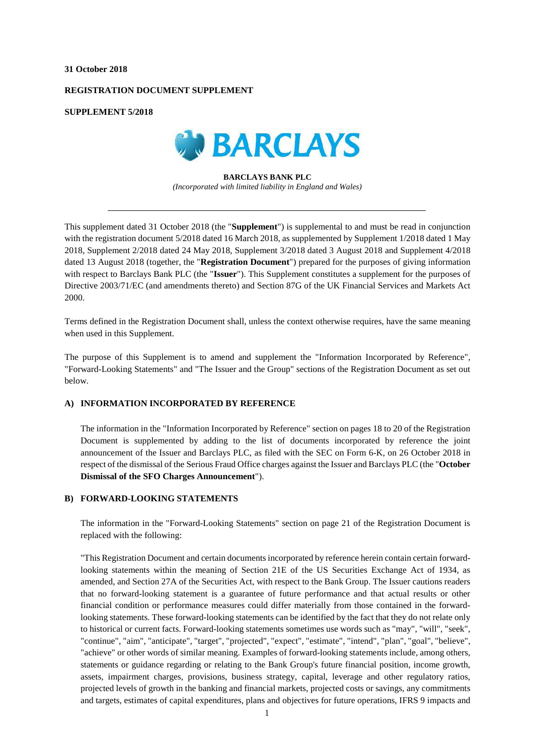#### **31 October 2018**

## **REGISTRATION DOCUMENT SUPPLEMENT**

**SUPPLEMENT 5/2018**



**BARCLAYS BANK PLC** *(Incorporated with limited liability in England and Wales)*

This supplement dated 31 October 2018 (the "**Supplement**") is supplemental to and must be read in conjunction with the registration document 5/2018 dated 16 March 2018, as supplemented by Supplement 1/2018 dated 1 May 2018, Supplement 2/2018 dated 24 May 2018, Supplement 3/2018 dated 3 August 2018 and Supplement 4/2018 dated 13 August 2018 (together, the "**Registration Document**") prepared for the purposes of giving information with respect to Barclays Bank PLC (the "**Issuer**"). This Supplement constitutes a supplement for the purposes of Directive 2003/71/EC (and amendments thereto) and Section 87G of the UK Financial Services and Markets Act 2000.

Terms defined in the Registration Document shall, unless the context otherwise requires, have the same meaning when used in this Supplement.

The purpose of this Supplement is to amend and supplement the "Information Incorporated by Reference", "Forward-Looking Statements" and "The Issuer and the Group" sections of the Registration Document as set out below.

# **A) INFORMATION INCORPORATED BY REFERENCE**

The information in the "Information Incorporated by Reference" section on pages 18 to 20 of the Registration Document is supplemented by adding to the list of documents incorporated by reference the joint announcement of the Issuer and Barclays PLC, as filed with the SEC on Form 6-K, on 26 October 2018 in respect of the dismissal of the Serious Fraud Office charges against the Issuer and Barclays PLC (the "**October Dismissal of the SFO Charges Announcement**").

## **B) FORWARD-LOOKING STATEMENTS**

The information in the "Forward-Looking Statements" section on page 21 of the Registration Document is replaced with the following:

"This Registration Document and certain documents incorporated by reference herein contain certain forwardlooking statements within the meaning of Section 21E of the US Securities Exchange Act of 1934, as amended, and Section 27A of the Securities Act, with respect to the Bank Group. The Issuer cautions readers that no forward-looking statement is a guarantee of future performance and that actual results or other financial condition or performance measures could differ materially from those contained in the forwardlooking statements. These forward-looking statements can be identified by the fact that they do not relate only to historical or current facts. Forward-looking statements sometimes use words such as "may", "will", "seek", "continue", "aim", "anticipate", "target", "projected", "expect", "estimate", "intend", "plan", "goal", "believe", "achieve" or other words of similar meaning. Examples of forward-looking statements include, among others, statements or guidance regarding or relating to the Bank Group's future financial position, income growth, assets, impairment charges, provisions, business strategy, capital, leverage and other regulatory ratios, projected levels of growth in the banking and financial markets, projected costs or savings, any commitments and targets, estimates of capital expenditures, plans and objectives for future operations, IFRS 9 impacts and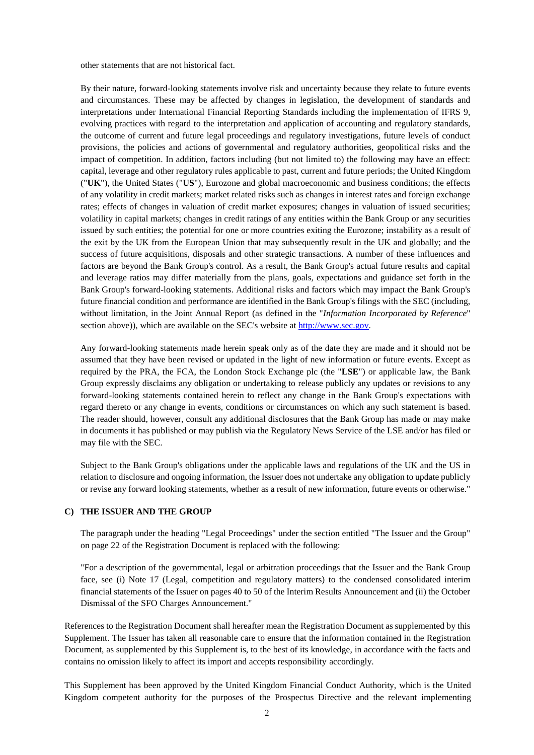other statements that are not historical fact.

By their nature, forward-looking statements involve risk and uncertainty because they relate to future events and circumstances. These may be affected by changes in legislation, the development of standards and interpretations under International Financial Reporting Standards including the implementation of IFRS 9, evolving practices with regard to the interpretation and application of accounting and regulatory standards, the outcome of current and future legal proceedings and regulatory investigations, future levels of conduct provisions, the policies and actions of governmental and regulatory authorities, geopolitical risks and the impact of competition. In addition, factors including (but not limited to) the following may have an effect: capital, leverage and other regulatory rules applicable to past, current and future periods; the United Kingdom ("**UK**"), the United States ("**US**"), Eurozone and global macroeconomic and business conditions; the effects of any volatility in credit markets; market related risks such as changes in interest rates and foreign exchange rates; effects of changes in valuation of credit market exposures; changes in valuation of issued securities; volatility in capital markets; changes in credit ratings of any entities within the Bank Group or any securities issued by such entities; the potential for one or more countries exiting the Eurozone; instability as a result of the exit by the UK from the European Union that may subsequently result in the UK and globally; and the success of future acquisitions, disposals and other strategic transactions. A number of these influences and factors are beyond the Bank Group's control. As a result, the Bank Group's actual future results and capital and leverage ratios may differ materially from the plans, goals, expectations and guidance set forth in the Bank Group's forward-looking statements. Additional risks and factors which may impact the Bank Group's future financial condition and performance are identified in the Bank Group's filings with the SEC (including, without limitation, in the Joint Annual Report (as defined in the "*Information Incorporated by Reference*" section above)), which are available on the SEC's website at [http://www.sec.gov.](http://www.sec.gov/)

Any forward-looking statements made herein speak only as of the date they are made and it should not be assumed that they have been revised or updated in the light of new information or future events. Except as required by the PRA, the FCA, the London Stock Exchange plc (the "**LSE**") or applicable law, the Bank Group expressly disclaims any obligation or undertaking to release publicly any updates or revisions to any forward-looking statements contained herein to reflect any change in the Bank Group's expectations with regard thereto or any change in events, conditions or circumstances on which any such statement is based. The reader should, however, consult any additional disclosures that the Bank Group has made or may make in documents it has published or may publish via the Regulatory News Service of the LSE and/or has filed or may file with the SEC.

Subject to the Bank Group's obligations under the applicable laws and regulations of the UK and the US in relation to disclosure and ongoing information, the Issuer does not undertake any obligation to update publicly or revise any forward looking statements, whether as a result of new information, future events or otherwise."

## **C) THE ISSUER AND THE GROUP**

The paragraph under the heading "Legal Proceedings" under the section entitled "The Issuer and the Group" on page 22 of the Registration Document is replaced with the following:

"For a description of the governmental, legal or arbitration proceedings that the Issuer and the Bank Group face, see (i) Note 17 (Legal, competition and regulatory matters) to the condensed consolidated interim financial statements of the Issuer on pages 40 to 50 of the Interim Results Announcement and (ii) the October Dismissal of the SFO Charges Announcement."

References to the Registration Document shall hereafter mean the Registration Document as supplemented by this Supplement. The Issuer has taken all reasonable care to ensure that the information contained in the Registration Document, as supplemented by this Supplement is, to the best of its knowledge, in accordance with the facts and contains no omission likely to affect its import and accepts responsibility accordingly.

This Supplement has been approved by the United Kingdom Financial Conduct Authority, which is the United Kingdom competent authority for the purposes of the Prospectus Directive and the relevant implementing